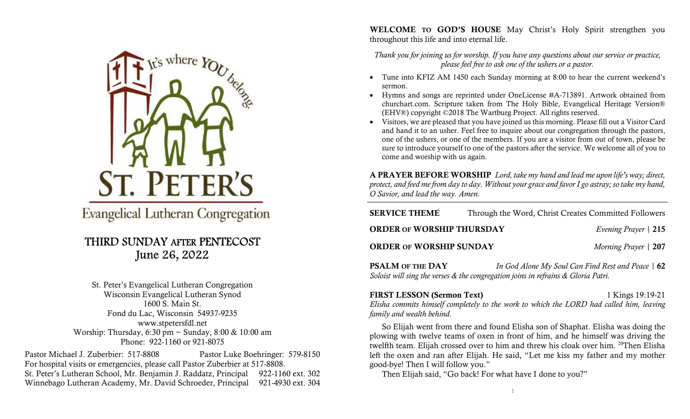

**Evangelical Lutheran Congregation** 

## THIRD SUNDAY AFTER PENTECOST June 26, 2022

St. Peter's Evangelical Lutheran Congregation Wisconsin Evangelical Lutheran Synod 1600 S. Main St. Fond du Lac, Wisconsin 54937-9235 www.stpetersfdl.net Worship: Thursday, 6:30 pm ~ Sunday, 8:00 & 10:00 am Phone: 922-1160 or 921-8075

Pastor Michael J. Zuberbier: 517-8808 Pastor Luke Boehringer: 579-8150 For hospital visits or emergencies, please call Pastor Zuberbier at 517-8808. St. Peter's Lutheran School, Mr. Benjamin J. Raddatz, Principal 922-1160 ext. 302 Winnebago Lutheran Academy, Mr. David Schroeder, Principal 921-4930 ext. 304 WELCOME TO GOD'S HOUSE May Christ's Holy Spirit strengthen you throughout this life and into eternal life.

Thank you for joining us for worship. If you have any questions about our service or practice, please feel free to ask one of the ushers or a pastor.

- Tune into KFIZ AM 1450 each Sunday morning at 8:00 to hear the current weekend's sermon.
- Hymns and songs are reprinted under OneLicense #A-713891. Artwork obtained from churchart.com. Scripture taken from The Holy Bible, Evangelical Heritage Version® (EHV®) copyright ©2018 The Wartburg Project. All rights reserved.
- Visitors, we are pleased that you have joined us this morning. Please fill out a Visitor Card and hand it to an usher. Feel free to inquire about our congregation through the pastors, one of the ushers, or one of the members. If you are a visitor from out of town, please be sure to introduce yourself to one of the pastors after the service. We welcome all of you to come and worship with us again.

A PRAYER BEFORE WORSHIP Lord, take my hand and lead me upon life's way; direct, protect, and feed me from day to day. Without your grace and favor I go astray; so take my hand, O Savior, and lead the way. Amen.

| <b>SERVICE THEME</b>             | Through the Word, Christ Creates Committed Followers |                               |
|----------------------------------|------------------------------------------------------|-------------------------------|
| <b>ORDER OF WORSHIP THURSDAY</b> |                                                      | <i>Evening Prayer</i>   $215$ |
| <b>ORDER OF WORSHIP SUNDAY</b>   |                                                      | Morning Prayer   207          |

**PSALM OF THE DAY** *In God Alone My Soul Can Find Rest and Peace* | 62 Soloist will sing the verses & the congregation joins in refrains & Gloria Patri.

FIRST LESSON (Sermon Text) 1 Kings 19:19-21 Elisha commits himself completely to the work to which the LORD had called him, leaving family and wealth behind.

So Elijah went from there and found Elisha son of Shaphat. Elisha was doing the plowing with twelve teams of oxen in front of him, and he himself was driving the twelfth team. Elijah crossed over to him and threw his cloak over him. <sup>20</sup>Then Elisha left the oxen and ran after Elijah. He said, "Let me kiss my father and my mother good-bye! Then I will follow you."

Then Elijah said, "Go back! For what have I done to you?"